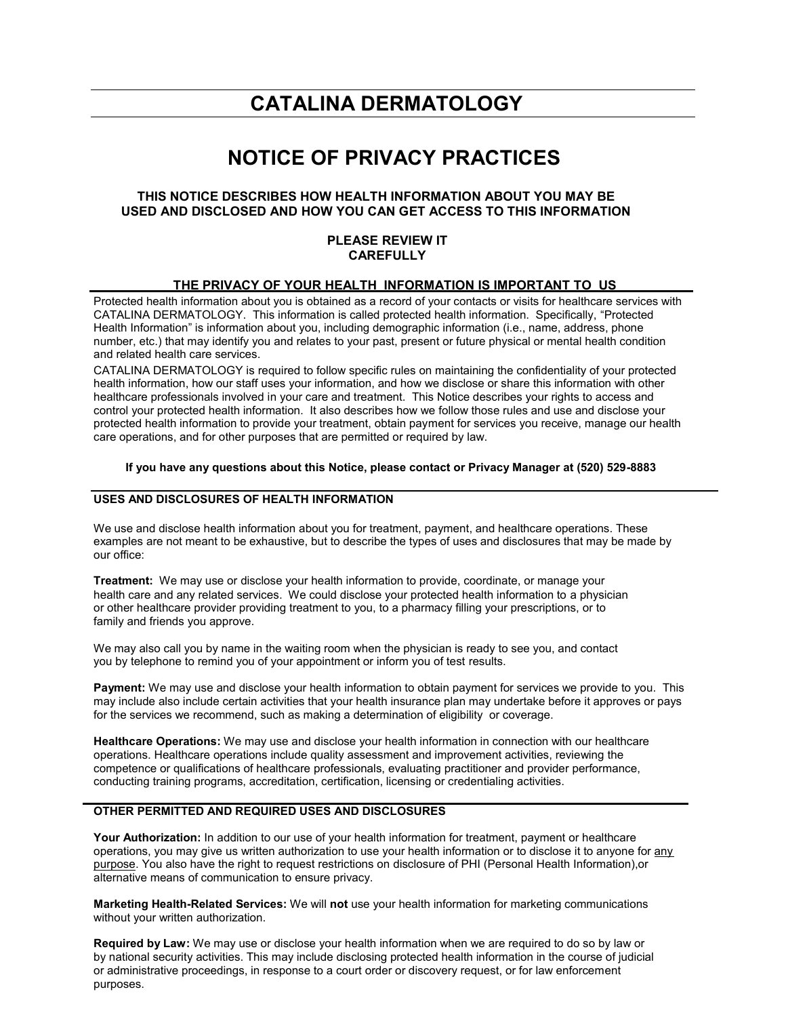# **CATALINA DERMATOLOGY**

# **NOTICE OF PRIVACY PRACTICES**

# **THIS NOTICE DESCRIBES HOW HEALTH INFORMATION ABOUT YOU MAY BE USED AND DISCLOSED AND HOW YOU CAN GET ACCESS TO THIS INFORMATION**

## **PLEASE REVIEW IT CAREFULLY**

### **THE PRIVACY OF YOUR HEALTH INFORMATION IS IMPORTANT TO US**

Protected health information about you is obtained as a record of your contacts or visits for healthcare services with CATALINA DERMATOLOGY. This information is called protected health information. Specifically, "Protected Health Information" is information about you, including demographic information (i.e., name, address, phone number, etc.) that may identify you and relates to your past, present or future physical or mental health condition and related health care services.

CATALINA DERMATOLOGY is required to follow specific rules on maintaining the confidentiality of your protected health information, how our staff uses your information, and how we disclose or share this information with other healthcare professionals involved in your care and treatment. This Notice describes your rights to access and control your protected health information. It also describes how we follow those rules and use and disclose your protected health information to provide your treatment, obtain payment for services you receive, manage our health care operations, and for other purposes that are permitted or required by law.

#### **If you have any questions about this Notice, please contact or Privacy Manager at (520) 529-8883**

## **USES AND DISCLOSURES OF HEALTH INFORMATION**

We use and disclose health information about you for treatment, payment, and healthcare operations. These examples are not meant to be exhaustive, but to describe the types of uses and disclosures that may be made by our office:

**Treatment:** We may use or disclose your health information to provide, coordinate, or manage your health care and any related services. We could disclose your protected health information to a physician or other healthcare provider providing treatment to you, to a pharmacy filling your prescriptions, or to family and friends you approve.

We may also call you by name in the waiting room when the physician is ready to see you, and contact you by telephone to remind you of your appointment or inform you of test results.

**Payment:** We may use and disclose your health information to obtain payment for services we provide to you. This may include also include certain activities that your health insurance plan may undertake before it approves or pays for the services we recommend, such as making a determination of eligibility or coverage.

**Healthcare Operations:** We may use and disclose your health information in connection with our healthcare operations. Healthcare operations include quality assessment and improvement activities, reviewing the competence or qualifications of healthcare professionals, evaluating practitioner and provider performance, conducting training programs, accreditation, certification, licensing or credentialing activities.

### **OTHER PERMITTED AND REQUIRED USES AND DISCLOSURES**

**Your Authorization:** In addition to our use of your health information for treatment, payment or healthcare operations, you may give us written authorization to use your health information or to disclose it to anyone for any purpose. You also have the right to request restrictions on disclosure of PHI (Personal Health Information),or alternative means of communication to ensure privacy.

**Marketing Health-Related Services:** We will **not** use your health information for marketing communications without your written authorization.

**Required by Law:** We may use or disclose your health information when we are required to do so by law or by national security activities. This may include disclosing protected health information in the course of judicial or administrative proceedings, in response to a court order or discovery request, or for law enforcement purposes.